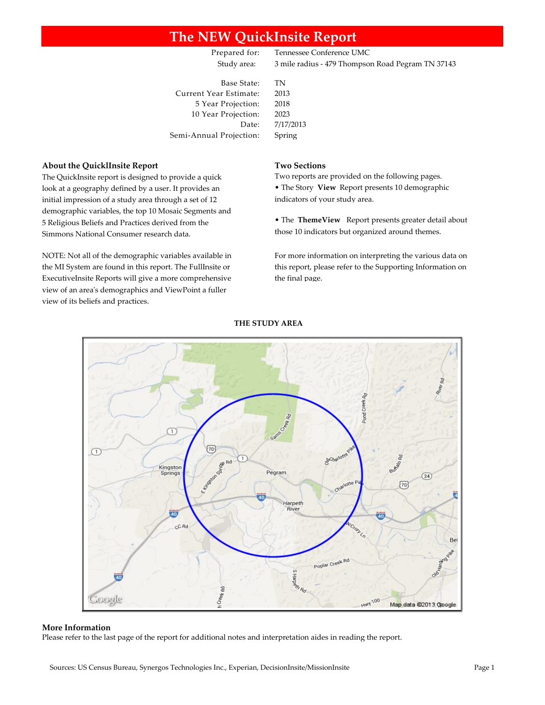# **The NEW QuickInsite Report**

Prepared for: Tennessee Conference UMC Study area: 3 mile radius - 479 Thompson Road Pegram TN 37143

Base State: TN Current Year Estimate: 2013 5 Year Projection: 2018 10 Year Projection: 2023 Semi-Annual Projection: Spring

Date: 7/17/2013

#### **About the QuicklInsite Report Two Sections**

The QuickInsite report is designed to provide a quick look at a geography defined by a user. It provides an initial impression of a study area through a set of 12 demographic variables, the top 10 Mosaic Segments and 5 Religious Beliefs and Practices derived from the Simmons National Consumer research data.

NOTE: Not all of the demographic variables available in the MI System are found in this report. The FullInsite or ExecutiveInsite Reports will give a more comprehensive view of an area's demographics and ViewPoint a fuller view of its beliefs and practices.

Two reports are provided on the following pages. • The Story **View** Report presents 10 demographic indicators of your study area.

• The **ThemeView** Report presents greater detail about those 10 indicators but organized around themes.

For more information on interpreting the various data on this report, please refer to the Supporting Information on the final page.



#### **THE STUDY AREA**

#### **More Information**

Please refer to the last page of the report for additional notes and interpretation aides in reading the report.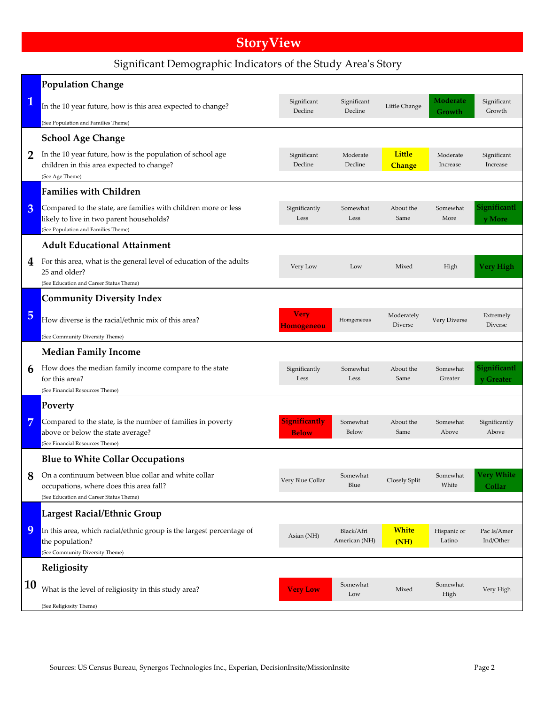# **StoryView**

# Significant Demographic Indicators of the Study Area's Story

|                | <b>Population Change</b>                                                                                                                          |                                      |                             |                                |                           |                             |
|----------------|---------------------------------------------------------------------------------------------------------------------------------------------------|--------------------------------------|-----------------------------|--------------------------------|---------------------------|-----------------------------|
| $\mathbf 1$    | In the 10 year future, how is this area expected to change?                                                                                       | Significant<br>Decline               | Significant<br>Decline      | Little Change                  | <b>Moderate</b><br>Growth | Significant<br>Growth       |
|                | (See Population and Families Theme)                                                                                                               |                                      |                             |                                |                           |                             |
|                | <b>School Age Change</b>                                                                                                                          |                                      |                             |                                |                           |                             |
| $\overline{2}$ | In the 10 year future, how is the population of school age<br>children in this area expected to change?<br>(See Age Theme)                        | Significant<br>Decline               | Moderate<br>Decline         | <b>Little</b><br><b>Change</b> | Moderate<br>Increase      | Significant<br>Increase     |
|                | <b>Families with Children</b>                                                                                                                     |                                      |                             |                                |                           |                             |
| 3              | Compared to the state, are families with children more or less<br>likely to live in two parent households?<br>(See Population and Families Theme) | Significantly<br>Less                | Somewhat<br>Less            | About the<br>Same              | Somewhat<br>More          | Significantl<br>y More      |
|                | <b>Adult Educational Attainment</b>                                                                                                               |                                      |                             |                                |                           |                             |
| 4              | For this area, what is the general level of education of the adults<br>25 and older?<br>(See Education and Career Status Theme)                   | Very Low                             | Low                         | Mixed                          | High                      | <b>Very High</b>            |
|                | <b>Community Diversity Index</b>                                                                                                                  |                                      |                             |                                |                           |                             |
| 5              | How diverse is the racial/ethnic mix of this area?                                                                                                | Very<br>Homogeneou                   | Homgeneous                  | Moderately<br>Diverse          | Very Diverse              | Extremely<br>Diverse        |
|                | (See Community Diversity Theme)                                                                                                                   |                                      |                             |                                |                           |                             |
|                | <b>Median Family Income</b>                                                                                                                       |                                      |                             |                                |                           |                             |
| 6              | How does the median family income compare to the state<br>for this area?                                                                          | Significantly<br>Less                | Somewhat<br>Less            | About the<br>Same              | Somewhat<br>Greater       | Significantl<br>y Greater   |
|                | (See Financial Resources Theme)<br>Poverty                                                                                                        |                                      |                             |                                |                           |                             |
| 7              | Compared to the state, is the number of families in poverty<br>above or below the state average?<br>(See Financial Resources Theme)               | <b>Significantly</b><br><b>Below</b> | Somewhat<br>Below           | About the<br>Same              | Somewhat<br>Above         | Significantly<br>Above      |
|                | <b>Blue to White Collar Occupations</b>                                                                                                           |                                      |                             |                                |                           |                             |
| 8              | On a continuum between blue collar and white collar<br>occupations, where does this area fall?<br>(See Education and Career Status Theme)         | Very Blue Collar                     | Somewhat<br>Blue            | Closely Split                  | Somewhat<br>White         | <b>Very White</b><br>Collar |
|                | Largest Racial/Ethnic Group                                                                                                                       |                                      |                             |                                |                           |                             |
| 9              | In this area, which racial/ethnic group is the largest percentage of<br>the population?<br>(See Community Diversity Theme)                        | Asian (NH)                           | Black/Afri<br>American (NH) | <b>White</b><br>(NH)           | Hispanic or<br>Latino     | Pac Is/Amer<br>Ind/Other    |
|                | Religiosity                                                                                                                                       |                                      |                             |                                |                           |                             |
| 10             | What is the level of religiosity in this study area?                                                                                              | <b>Very Low</b>                      | Somewhat<br>Low             | Mixed                          | Somewhat<br>High          | Very High                   |
|                | (See Religiosity Theme)                                                                                                                           |                                      |                             |                                |                           |                             |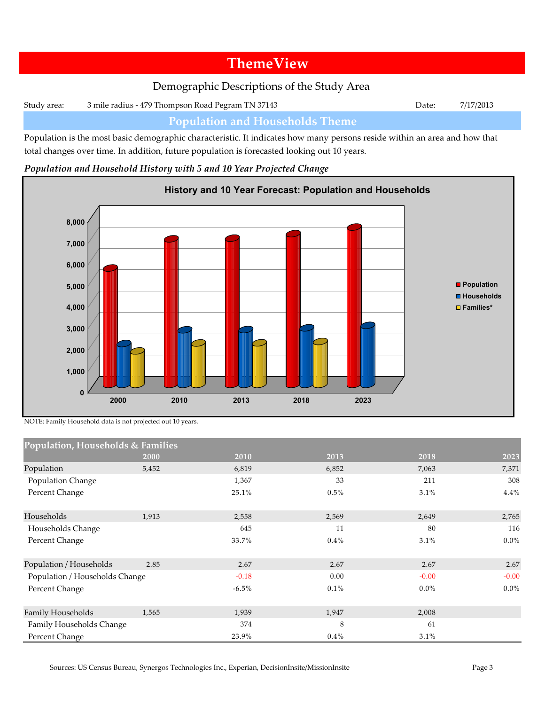# **ThemeView**

# Demographic Descriptions of the Study Area

Study area: 3 mile radius - 479 Thompson Road Pegram TN 37143 Date: 7/17/2013

## **Population and Households Theme**

Population is the most basic demographic characteristic. It indicates how many persons reside within an area and how that total changes over time. In addition, future population is forecasted looking out 10 years.

#### *Population and Household History with 5 and 10 Year Projected Change*



NOTE: Family Household data is not projected out 10 years.

| Population, Households & Families |       |          |         |         |         |
|-----------------------------------|-------|----------|---------|---------|---------|
|                                   | 2000  | 2010     | 2013    | 2018    | 2023    |
| Population                        | 5,452 | 6,819    | 6,852   | 7,063   | 7,371   |
| Population Change                 |       | 1,367    | 33      | 211     | 308     |
| Percent Change                    |       | 25.1%    | 0.5%    | 3.1%    | 4.4%    |
| Households                        | 1,913 | 2,558    | 2,569   | 2,649   | 2,765   |
| Households Change                 |       | 645      | 11      | 80      | 116     |
| Percent Change                    |       | 33.7%    | 0.4%    | 3.1%    | $0.0\%$ |
| Population / Households           | 2.85  | 2.67     | 2.67    | 2.67    | 2.67    |
| Population / Households Change    |       | $-0.18$  | 0.00    | $-0.00$ | $-0.00$ |
| Percent Change                    |       | $-6.5\%$ | 0.1%    | $0.0\%$ | $0.0\%$ |
| Family Households                 | 1,565 | 1,939    | 1,947   | 2,008   |         |
| Family Households Change          |       | 374      | 8       | 61      |         |
| Percent Change                    |       | 23.9%    | $0.4\%$ | 3.1%    |         |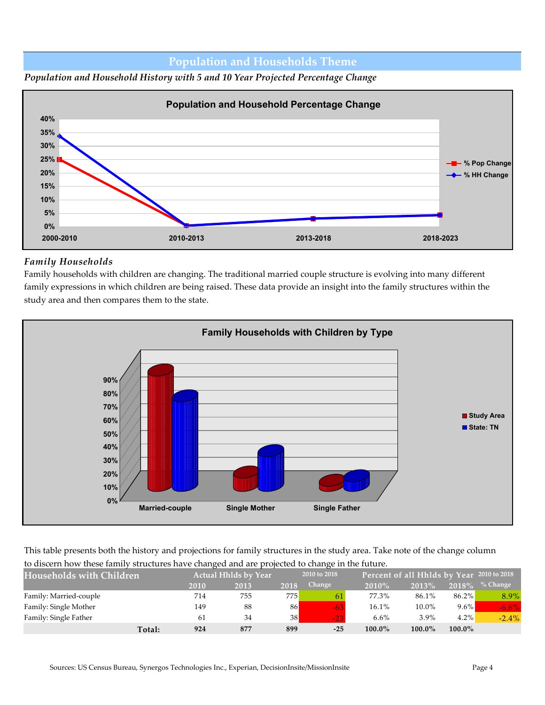### **Population and Households Theme**





### *Family Households*

Family households with children are changing. The traditional married couple structure is evolving into many different family expressions in which children are being raised. These data provide an insight into the family structures within the study area and then compares them to the state.



This table presents both the history and projections for family structures in the study area. Take note of the change column to discern how these family structures have changed and are projected to change in the future.

| <b>Households with Children</b> |      | <b>Actual Hhlds by Year</b> |      | --<br>2010 to 2018 |           | Percent of all Hhlds by Year 2010 to 2018 |           |            |
|---------------------------------|------|-----------------------------|------|--------------------|-----------|-------------------------------------------|-----------|------------|
|                                 | 2010 | 2013                        | 2018 | Change             | 2010%     | 2013%                                     | 2018%     | $%$ Change |
| Family: Married-couple          | 714  | 755                         | 7751 | 61                 | 77.3%     | 86.1%                                     | 86.2%     | 8.9%       |
| Family: Single Mother           | 149  | 88                          | 86   | $-63$              | 16.1%     | 10.0%                                     | $9.6\%$   | $-6.6\%$   |
| Family: Single Father           | 61   | 34                          | 38   | $-23$              | 6.6%      | $3.9\%$                                   | $4.2\%$   | $-2.4%$    |
| Total:                          | 924  | 877                         | 899  | $-25$              | $100.0\%$ | $100.0\%$                                 | $100.0\%$ |            |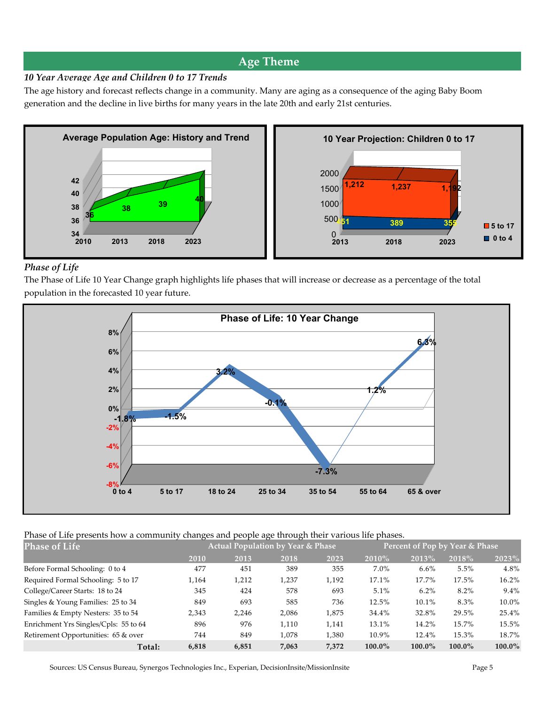### **Age Theme**

#### *10 Year Average Age and Children 0 to 17 Trends*

The age history and forecast reflects change in a community. Many are aging as a consequence of the aging Baby Boom generation and the decline in live births for many years in the late 20th and early 21st centuries.



#### *Phase of Life*

The Phase of Life 10 Year Change graph highlights life phases that will increase or decrease as a percentage of the total population in the forecasted 10 year future.



#### Phase of Life presents how a community changes and people age through their various life phases.

| <b>Phase of Life</b>                  |       | <b>Actual Population by Year &amp; Phase</b> |       |       |           | Percent of Pop by Year & Phase |           |           |
|---------------------------------------|-------|----------------------------------------------|-------|-------|-----------|--------------------------------|-----------|-----------|
|                                       | 2010  | 2013                                         | 2018  | 2023  | 2010%     | 2013%                          | 2018%     | 2023%     |
| Before Formal Schooling: 0 to 4       | 477   | 451                                          | 389   | 355   | $7.0\%$   | 6.6%                           | $5.5\%$   | 4.8%      |
| Required Formal Schooling: 5 to 17    | 1,164 | 1,212                                        | 1,237 | 1,192 | 17.1%     | 17.7%                          | 17.5%     | 16.2%     |
| College/Career Starts: 18 to 24       | 345   | 424                                          | 578   | 693   | 5.1%      | 6.2%                           | $8.2\%$   | $9.4\%$   |
| Singles & Young Families: 25 to 34    | 849   | 693                                          | 585   | 736   | 12.5%     | 10.1%                          | 8.3%      | 10.0%     |
| Families & Empty Nesters: 35 to 54    | 2,343 | 2,246                                        | 2,086 | 1,875 | 34.4%     | 32.8%                          | 29.5%     | 25.4%     |
| Enrichment Yrs Singles/Cpls: 55 to 64 | 896   | 976                                          | 1.110 | 1,141 | 13.1%     | 14.2%                          | 15.7%     | 15.5%     |
| Retirement Opportunities: 65 & over   | 744   | 849                                          | 1.078 | 1,380 | 10.9%     | 12.4%                          | 15.3%     | 18.7%     |
| <b>Total:</b>                         | 6,818 | 6,851                                        | 7,063 | 7,372 | $100.0\%$ | 100.0%                         | $100.0\%$ | $100.0\%$ |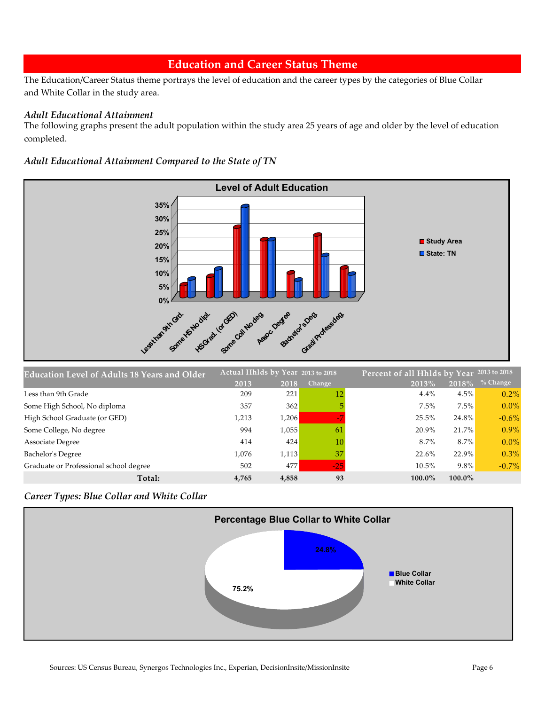### **Education and Career Status Theme**

The Education/Career Status theme portrays the level of education and the career types by the categories of Blue Collar and White Collar in the study area.

#### *Adult Educational Attainment*

The following graphs present the adult population within the study area 25 years of age and older by the level of education completed.

#### *Adult Educational Attainment Compared to the State of TN*



| <b>Education Level of Adults 18 Years and Older</b> | Actual Hhlds by Year 2013 to 2018 |       |                 |           | Percent of all Hhlds by Year 2013 to 2018 |            |  |
|-----------------------------------------------------|-----------------------------------|-------|-----------------|-----------|-------------------------------------------|------------|--|
|                                                     | 2013                              | 2018  | Change          | 2013%     | 2018%                                     | $%$ Change |  |
| Less than 9th Grade                                 | 209                               | 221   | 12 <sup>1</sup> | 4.4%      | 4.5%                                      | $0.2\%$    |  |
| Some High School, No diploma                        | 357                               | 362   |                 | 7.5%      | $7.5\%$                                   | $0.0\%$    |  |
| High School Graduate (or GED)                       | 1,213                             | 1,206 |                 | 25.5%     | 24.8%                                     | $-0.6\%$   |  |
| Some College, No degree                             | 994                               | 1,055 | 61              | 20.9%     | 21.7%                                     | $0.9\%$    |  |
| <b>Associate Degree</b>                             | 414                               | 424   | 10              | 8.7%      | $8.7\%$                                   | $0.0\%$    |  |
| Bachelor's Degree                                   | 1.076                             | 1,113 | 37              | 22.6%     | $22.9\%$                                  | $0.3\%$    |  |
| Graduate or Professional school degree              | 502                               | 477   | $-25$           | 10.5%     | $9.8\%$                                   | $-0.7\%$   |  |
| Total:                                              | 4,765                             | 4,858 | 93              | $100.0\%$ | $100.0\%$                                 |            |  |

*Career Types: Blue Collar and White Collar*

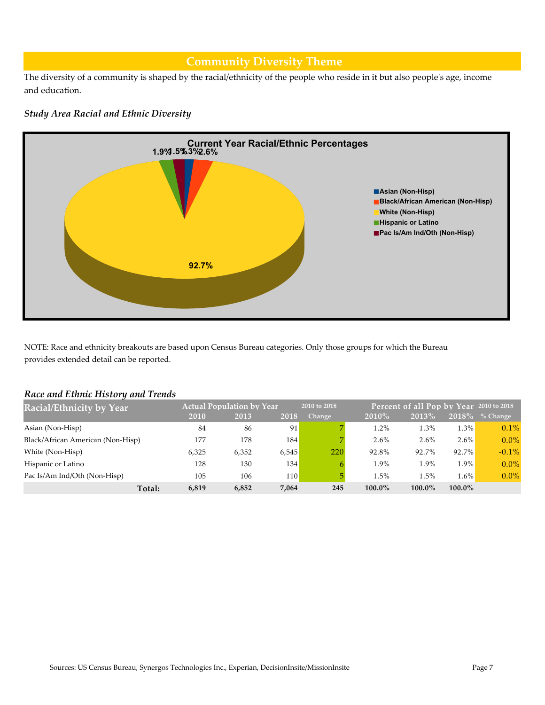### **Community Diversity Theme**

The diversity of a community is shaped by the racial/ethnicity of the people who reside in it but also people's age, income and education.

#### *Study Area Racial and Ethnic Diversity*



NOTE: Race and ethnicity breakouts are based upon Census Bureau categories. Only those groups for which the Bureau provides extended detail can be reported.

#### *Race and Ethnic History and Trends*

| <b>Racial/Ethnicity by Year</b>   |                 |     | <b>Actual Population by Year</b> |       | 2010 to 2018 |           | Percent of all Pop by Year 2010 to 2018 |           |            |
|-----------------------------------|-----------------|-----|----------------------------------|-------|--------------|-----------|-----------------------------------------|-----------|------------|
|                                   | 2010            |     | 2013                             | 2018  | Change       | 2010%     | 2013%                                   | $2018\%$  | $%$ Change |
| Asian (Non-Hisp)                  |                 | 84  | 86                               | 91    |              | 1.2%      | 1.3%                                    | 1.3%      | 0.1%       |
| Black/African American (Non-Hisp) |                 | 177 | 178                              | 184   |              | 2.6%      | 2.6%                                    | $2.6\%$   | $0.0\%$    |
| White (Non-Hisp)                  | 6.325           |     | 6,352                            | 6,545 | 220          | 92.8%     | 92.7%                                   | 92.7%     | $-0.1%$    |
| Hispanic or Latino                |                 | 128 | 130                              | 134   | 6.           | 1.9%      | 1.9%                                    | 1.9%      | $0.0\%$    |
| Pac Is/Am Ind/Oth (Non-Hisp)      |                 | 105 | 106                              | 110   | 5.           | 1.5%      | 1.5%                                    | $1.6\%$   | $0.0\%$    |
|                                   | Total:<br>6,819 |     | 6,852                            | 7,064 | 245          | $100.0\%$ | 100.0%                                  | $100.0\%$ |            |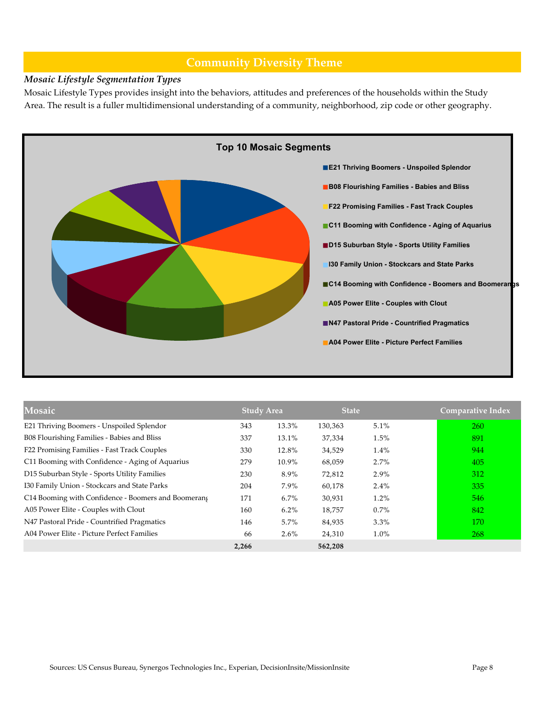### **Community Diversity Theme**

#### *Mosaic Lifestyle Segmentation Types*

Mosaic Lifestyle Types provides insight into the behaviors, attitudes and preferences of the households within the Study Area. The result is a fuller multidimensional understanding of a community, neighborhood, zip code or other geography.



| Mosaic                                              | <b>Study Area</b> |         | <b>State</b> |         | <b>Comparative Index</b> |
|-----------------------------------------------------|-------------------|---------|--------------|---------|--------------------------|
| E21 Thriving Boomers - Unspoiled Splendor           | 343               | 13.3%   | 130,363      | 5.1%    | 260                      |
| B08 Flourishing Families - Babies and Bliss         | 337               | 13.1%   | 37,334       | 1.5%    | 891                      |
| F22 Promising Families - Fast Track Couples         | 330               | 12.8%   | 34,529       | 1.4%    | 944                      |
| C11 Booming with Confidence - Aging of Aquarius     | 279               | 10.9%   | 68,059       | $2.7\%$ | 405                      |
| D15 Suburban Style - Sports Utility Families        | 230               | 8.9%    | 72,812       | $2.9\%$ | 312                      |
| I30 Family Union - Stockcars and State Parks        | 204               | 7.9%    | 60,178       | $2.4\%$ | 335                      |
| C14 Booming with Confidence - Boomers and Boomerang | 171               | $6.7\%$ | 30,931       | 1.2%    | 546                      |
| A05 Power Elite - Couples with Clout                | 160               | $6.2\%$ | 18,757       | $0.7\%$ | 842                      |
| N47 Pastoral Pride - Countrified Pragmatics         | 146               | 5.7%    | 84,935       | $3.3\%$ | 170                      |
| A04 Power Elite - Picture Perfect Families          | 66                | $2.6\%$ | 24,310       | 1.0%    | 268                      |
|                                                     | 2,266             |         | 562,208      |         |                          |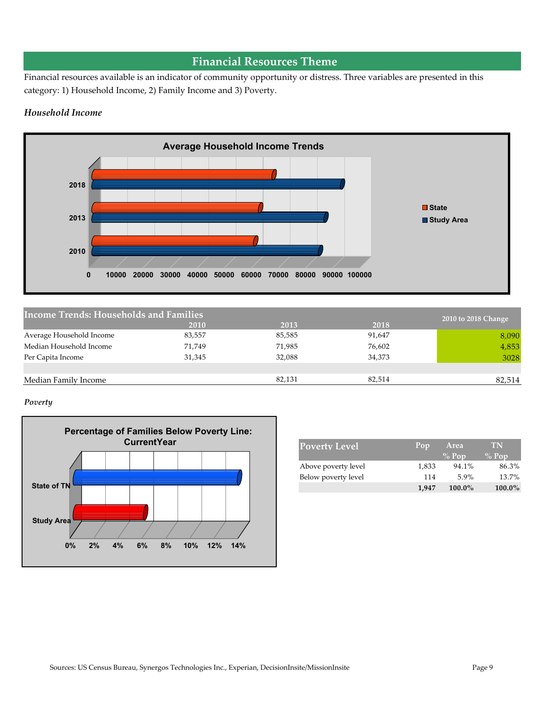## **Financial Resources Theme**

Financial resources available is an indicator of community opportunity or distress. Three variables are presented in this category: 1) Household Income, 2) Family Income and 3) Poverty.

#### *Household Income*



| <b>Income Trends: Households and Families</b> |        |        |        | 2010 to 2018 Change |
|-----------------------------------------------|--------|--------|--------|---------------------|
|                                               | 2010   | 2013   | 2018   |                     |
| Average Household Income                      | 83,557 | 85,585 | 91,647 | 8,090               |
| Median Household Income                       | 71,749 | 71,985 | 76,602 | 4,853               |
| Per Capita Income                             | 31,345 | 32,088 | 34,373 | 3028                |
|                                               |        |        |        |                     |
| Median Family Income                          |        | 82,131 | 82,514 | 82,514              |
|                                               |        |        |        |                     |

#### *Poverty*



| <b>Poverty Level</b> | Area<br>Pop |           | <b>TN</b> |
|----------------------|-------------|-----------|-----------|
|                      |             | $\%$ Pop  | $\%$ Pop  |
| Above poverty level  | 1,833       | 94.1%     | 86.3%     |
| Below poverty level  | 114         | 59%       | 13.7%     |
|                      | 1.947       | $100.0\%$ | $100.0\%$ |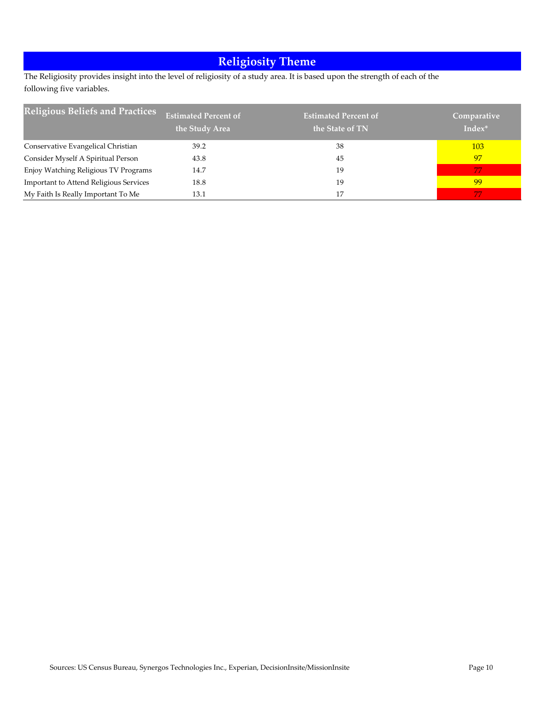# **Religiosity Theme**

The Religiosity provides insight into the level of religiosity of a study area. It is based upon the strength of each of the following five variables.

| <b>Religious Beliefs and Practices</b>        | <b>Estimated Percent of</b><br>the Study Area | <b>Estimated Percent of</b><br>the State of TN | Comparative<br>Index* |
|-----------------------------------------------|-----------------------------------------------|------------------------------------------------|-----------------------|
| Conservative Evangelical Christian            | 39.2                                          | 38                                             | 103                   |
| Consider Myself A Spiritual Person            | 43.8                                          | 45                                             | 97                    |
| Enjoy Watching Religious TV Programs          | 14.7                                          | 19                                             | -77                   |
| <b>Important to Attend Religious Services</b> | 18.8                                          | 19                                             | -99                   |
| My Faith Is Really Important To Me            | 13.1                                          | 17                                             | 77                    |